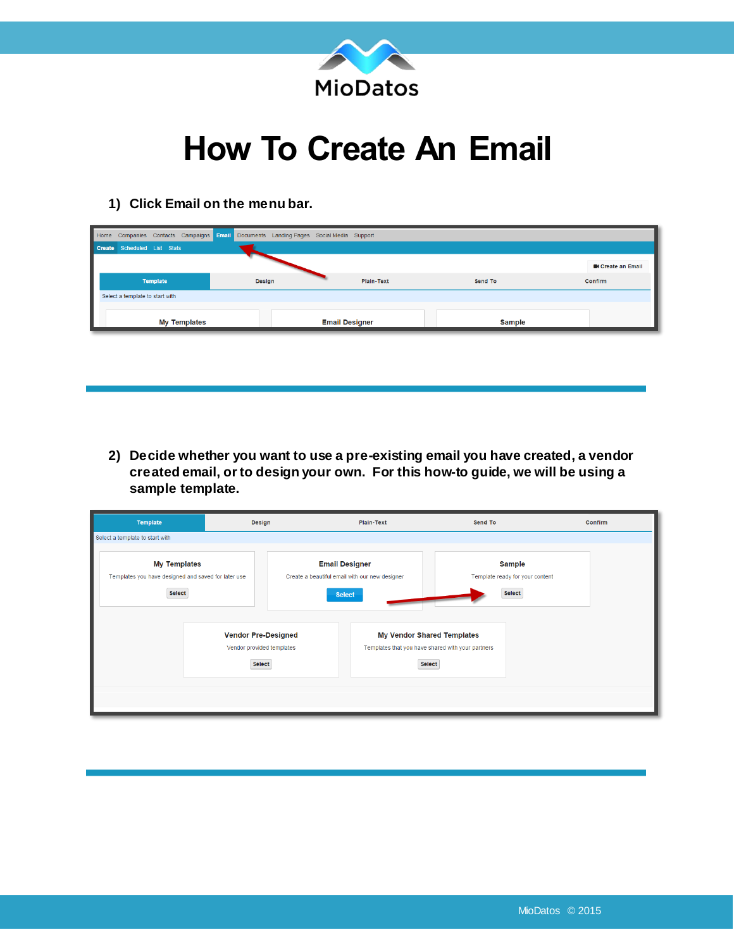

## **How To Create An Email**

**1) Click Email on the menu bar.**

| Home Companies Contacts Campaigns Email Documents Landing Pages Social Media Support |                     |        |                       |            |               |                        |
|--------------------------------------------------------------------------------------|---------------------|--------|-----------------------|------------|---------------|------------------------|
| Create Scheduled List Stats                                                          |                     |        |                       |            |               |                        |
|                                                                                      |                     |        |                       |            |               | <b>Create an Email</b> |
| <b>Template</b>                                                                      |                     | Design |                       | Plain-Text | Send To       | <b>Confirm</b>         |
| Select a template to start with                                                      |                     |        |                       |            |               |                        |
|                                                                                      | <b>My Templates</b> |        | <b>Email Designer</b> |            | <b>Sample</b> |                        |

**2) Decide whether you want to use a pre-existing email you have created, a vendor created email, or to design your own. For this how-to guide, we will be using a sample template.**

| <b>Template</b>                                                                      | Design                                                            |  | Plain-Text                                                                                       | Send To                                                    | Confirm |
|--------------------------------------------------------------------------------------|-------------------------------------------------------------------|--|--------------------------------------------------------------------------------------------------|------------------------------------------------------------|---------|
| Select a template to start with                                                      |                                                                   |  |                                                                                                  |                                                            |         |
| <b>My Templates</b><br>Templates you have designed and saved for later use<br>Select |                                                                   |  | <b>Email Designer</b><br>Create a beautiful email with our new designer<br><b>Select</b>         | <b>Sample</b><br>Template ready for your content<br>Select |         |
|                                                                                      | <b>Vendor Pre-Designed</b><br>Vendor provided templates<br>Select |  | <b>My Vendor Shared Templates</b><br>Templates that you have shared with your partners<br>Select |                                                            |         |
|                                                                                      |                                                                   |  |                                                                                                  |                                                            |         |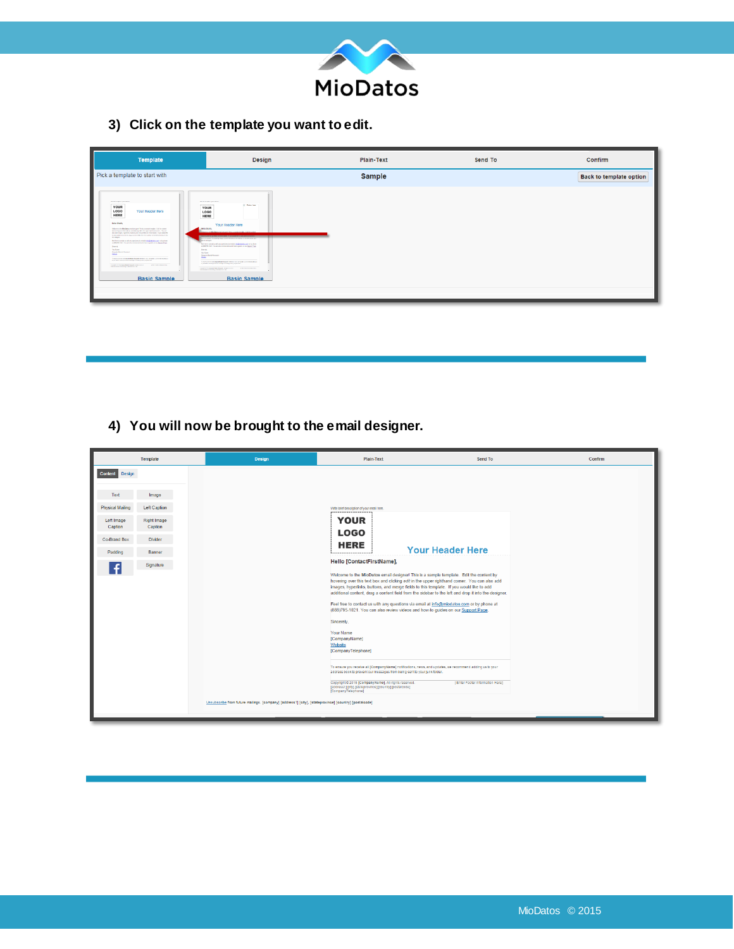

**3) Click on the template you want to edit.**

| <b>Template</b>                                                                                                                                                                                                                                                                                                                                                                                                                                                                                                                                                                                                                                                                                                                                                                                                                                                                                                                                                                                                                                                                                                                                                                                      | Design                                                                                                                                                                                                                                                                                                                                                                                                                                                                                                                                                                                                                                                                                                                                                                                        | Plain-Text    |  | Confirm                        |
|------------------------------------------------------------------------------------------------------------------------------------------------------------------------------------------------------------------------------------------------------------------------------------------------------------------------------------------------------------------------------------------------------------------------------------------------------------------------------------------------------------------------------------------------------------------------------------------------------------------------------------------------------------------------------------------------------------------------------------------------------------------------------------------------------------------------------------------------------------------------------------------------------------------------------------------------------------------------------------------------------------------------------------------------------------------------------------------------------------------------------------------------------------------------------------------------------|-----------------------------------------------------------------------------------------------------------------------------------------------------------------------------------------------------------------------------------------------------------------------------------------------------------------------------------------------------------------------------------------------------------------------------------------------------------------------------------------------------------------------------------------------------------------------------------------------------------------------------------------------------------------------------------------------------------------------------------------------------------------------------------------------|---------------|--|--------------------------------|
| Pick a template to start with                                                                                                                                                                                                                                                                                                                                                                                                                                                                                                                                                                                                                                                                                                                                                                                                                                                                                                                                                                                                                                                                                                                                                                        |                                                                                                                                                                                                                                                                                                                                                                                                                                                                                                                                                                                                                                                                                                                                                                                               | <b>Sample</b> |  | <b>Back to template option</b> |
| <b>HER MI THOUGHER IF JANUARY AND</b><br>YOUR<br>LOGO<br>Your Header Here<br>HERE<br><b>Hello Sharts</b><br>Where is its Mariates and designed from a surple trapic. Its incurried<br>Informing can be better and difficult in the same optional come. You can<br>also additiveges, Egen Miss, Indians, and new go Mids in Endersyliabs, If you result Ele-<br>In add additional content, deep a content Mid ham the videbies by the Bell and dogs if they<br><b>Drahmers</b><br>For lot to artistics which providence modelain@endenant why plant<br>at 2002/08 1271. You are also restraintance of how to get the or my Bussel Figgs.<br><b>Brand</b><br><b>New Norma</b><br>Generale Market Housands<br><b>Stringer</b><br>To an accuracion or property than a financial market in an accuracion of the company of the company of<br><b>B AND AREA BUSINESS AND A FEMALE REPORTED AND STATES</b><br>CONTRACTOR IN THE RESIDENCE OF A REPORT OF A REPORT OF A REPORT OF A REPORT OF A REPORT OF A REPORT OF A REPORT OF A REPORT OF A REPORT OF A REPORT OF A REPORT OF A REPORT OF A REPORT OF A REPORT OF A REPORT OF A REPORT OF<br><b><i>CRITICALLY CONTRACTORY</i></b><br><b>Basic Sample</b> | the between 4 percenture<br>U. Fallen Low<br>---------<br>YOUR<br><b>LOGO</b><br>HERE<br>Your Header Here<br><b>Jimila Shada</b><br>the carbon wasteful that control bild has be ables to be \$1 and \$1 and<br><b>Little Amount</b><br>Post los lo contativo ads any questionna's emailet intelligentation and on by phone<br>at 2007/02/22 You are also entrent demand from to public on the Businet Page.<br><b>Branch</b><br><b>You have</b><br><b>Service Me bi Several</b><br><b>Shirt</b><br>3. A service or contemporary the deviation of the party and a service process services.<br>If you will in this bit with a form and it of many party to pay that<br>LOCATION WAS BACK & RECOVER TO A REPORT OF THE CONTRACTOR<br><b>TRIPERS ECONOMIC DEMANDA DE</b><br><b>Basic Sample</b> |               |  |                                |
|                                                                                                                                                                                                                                                                                                                                                                                                                                                                                                                                                                                                                                                                                                                                                                                                                                                                                                                                                                                                                                                                                                                                                                                                      |                                                                                                                                                                                                                                                                                                                                                                                                                                                                                                                                                                                                                                                                                                                                                                                               |               |  |                                |

**4) You will now be brought to the email designer.**

|                         | Template               | <b>Design</b>                                                                                         | <b>Plain-Text</b>                                                                                                                                                                                                                                                                                                                                                                                                                                                                                                                                                                                                                                                                                                                                                                                                                                                                   | Send To                                                                                                                                 | Confirm |
|-------------------------|------------------------|-------------------------------------------------------------------------------------------------------|-------------------------------------------------------------------------------------------------------------------------------------------------------------------------------------------------------------------------------------------------------------------------------------------------------------------------------------------------------------------------------------------------------------------------------------------------------------------------------------------------------------------------------------------------------------------------------------------------------------------------------------------------------------------------------------------------------------------------------------------------------------------------------------------------------------------------------------------------------------------------------------|-----------------------------------------------------------------------------------------------------------------------------------------|---------|
| <b>Content</b> Design   |                        |                                                                                                       |                                                                                                                                                                                                                                                                                                                                                                                                                                                                                                                                                                                                                                                                                                                                                                                                                                                                                     |                                                                                                                                         |         |
| Text                    | Image                  |                                                                                                       |                                                                                                                                                                                                                                                                                                                                                                                                                                                                                                                                                                                                                                                                                                                                                                                                                                                                                     |                                                                                                                                         |         |
| <b>Physical Mailing</b> | <b>Left Caption</b>    |                                                                                                       | Write brief description of your email here.<br>,,,,,,,,,,,,,,,,,,,                                                                                                                                                                                                                                                                                                                                                                                                                                                                                                                                                                                                                                                                                                                                                                                                                  |                                                                                                                                         |         |
| Left Image<br>Caption   | Right Image<br>Caption |                                                                                                       | <b>YOUR</b><br><b>LOGO</b>                                                                                                                                                                                                                                                                                                                                                                                                                                                                                                                                                                                                                                                                                                                                                                                                                                                          |                                                                                                                                         |         |
| Co-Brand Box            | <b>Divider</b>         |                                                                                                       | <b>HERE</b>                                                                                                                                                                                                                                                                                                                                                                                                                                                                                                                                                                                                                                                                                                                                                                                                                                                                         |                                                                                                                                         |         |
| Padding                 | Banner                 |                                                                                                       | .                                                                                                                                                                                                                                                                                                                                                                                                                                                                                                                                                                                                                                                                                                                                                                                                                                                                                   | <b>Your Header Here</b>                                                                                                                 |         |
| £                       | Signature              |                                                                                                       | Hello [ContactFirstName],                                                                                                                                                                                                                                                                                                                                                                                                                                                                                                                                                                                                                                                                                                                                                                                                                                                           |                                                                                                                                         |         |
|                         |                        |                                                                                                       | Welcome to the MioDatos email designer! This is a sample template. Edit the content by<br>hovering over this text box and clicking edit in the upper righthand comer. You can also add<br>images, hyperlinks, buttons, and merge fields to this template. If you would like to add<br>Feel free to contact us with any questions via email at info@miodatos.com or by phone at<br>(888)795-1021. You can also review videos and how-to guides on our Support Page.<br>Sincerely,<br>Your Name<br>[CompanyName]<br>Website<br>[CompanyTelephone]<br>To ensure you receive all [CompanyName] notifications, news, and updates, we recommend adding us to your<br>address book to prevent our messages from being sent to your junk folder.<br>Copyright C 2015 [CompanyName], All rights reserved.<br>[address1] [clty], [stateprovince] [country] [postalcode]<br>[CompanyTelephone] | additional content, drag a content field from the sidebar to the left and drop it into the designer.<br>[Enter Footer Information Here] |         |
|                         |                        | Unsubscribe from future mailings. [company] [address1] [city], [stateprovince] [country] [postalcode] |                                                                                                                                                                                                                                                                                                                                                                                                                                                                                                                                                                                                                                                                                                                                                                                                                                                                                     |                                                                                                                                         |         |
|                         |                        |                                                                                                       |                                                                                                                                                                                                                                                                                                                                                                                                                                                                                                                                                                                                                                                                                                                                                                                                                                                                                     |                                                                                                                                         |         |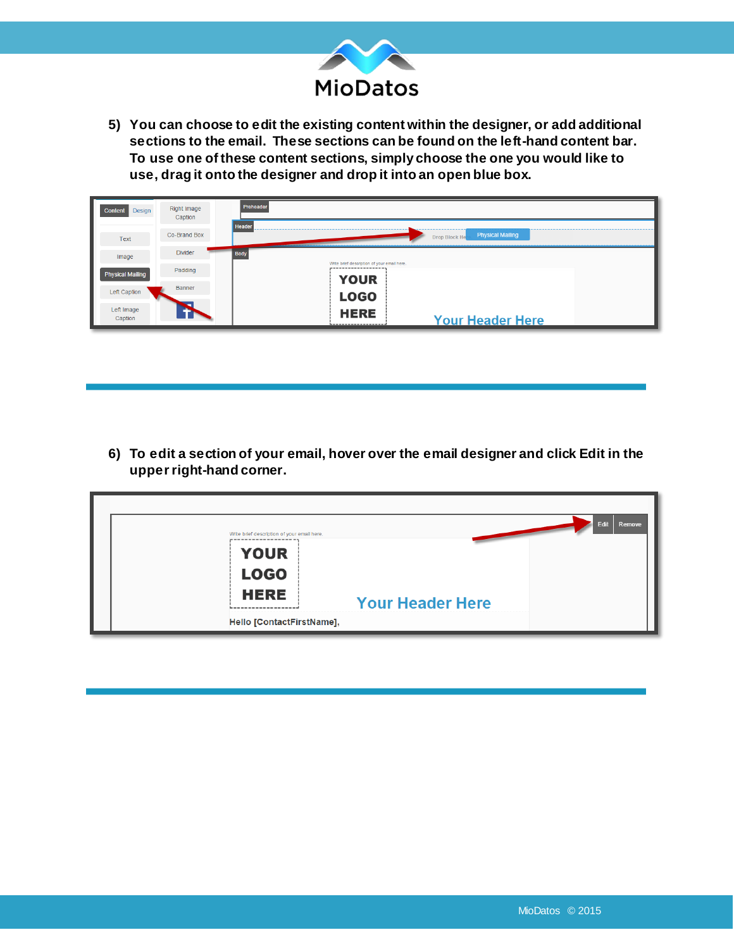

**5) You can choose to edit the existing content within the designer, or add additional sections to the email. These sections can be found on the left-hand content bar. To use one of these content sections, simply choose the one you would like to use, drag it onto the designer and drop it into an open blue box.** 

| Design<br>Content       | Right Image<br>Caption | Preheader<br>Header                                        |
|-------------------------|------------------------|------------------------------------------------------------|
| Text                    | Co-Brand Box           | <b>Physical Mailing</b><br>Drop Block He                   |
| Image                   | <b>Divider</b>         | <b>Body</b>                                                |
| <b>Physical Mailing</b> | Padding                | Write brief description of your email here.<br><b>YOUR</b> |
| Left Caption            | Banner                 | <b>LOGO</b>                                                |
| Left Image<br>Caption   |                        | <b>HERE</b><br><b>Your Header Here</b><br>                 |

**6) To edit a section of your email, hover over the email designer and click Edit in the upper right-hand corner.** 

| Edit<br>Remove<br>Write brief description of your email here. |
|---------------------------------------------------------------|
| <b>YOUR</b>                                                   |
| <b>LOGO</b>                                                   |
| <b>HERE</b>                                                   |
| <b>Your Header Here</b>                                       |
| Hello [ContactFirstName],                                     |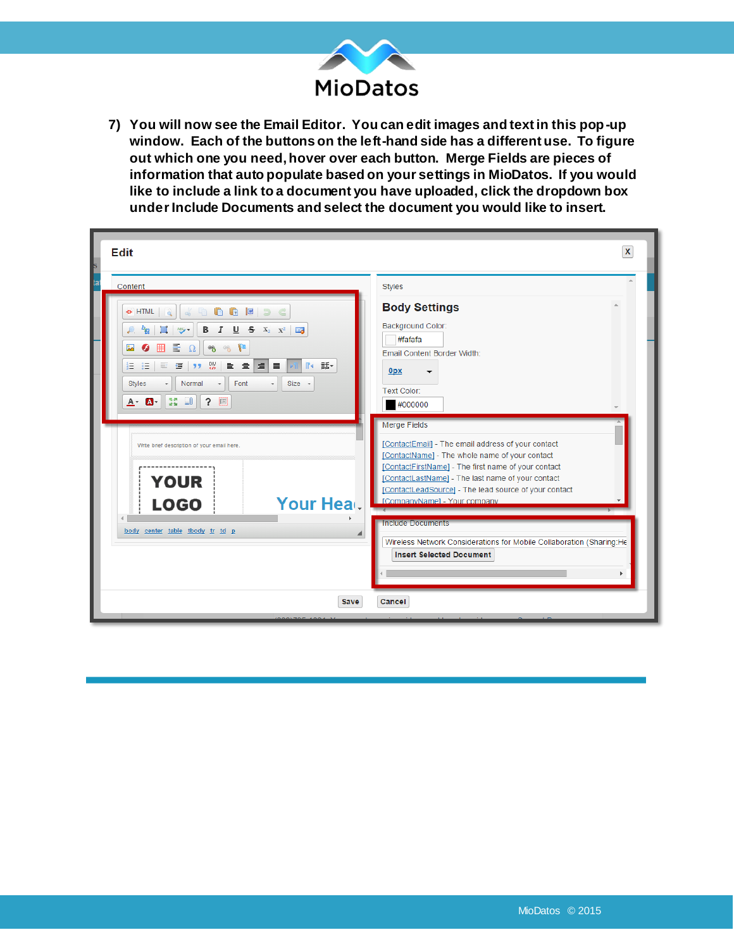

**7) You will now see the Email Editor. You can edit images and text in this pop-up window. Each of the buttons on the left-hand side has a different use. To figure out which one you need, hover over each button. Merge Fields are pieces of information that auto populate based on your settings in MioDatos. If you would like to include a link to a document you have uploaded, click the dropdown box under Include Documents and select the document you would like to insert.**

| <b>Edit</b>                                                                                                                                                                                                                                               | $\mathbf x$                                                                                                                                                                                                                                                                    |
|-----------------------------------------------------------------------------------------------------------------------------------------------------------------------------------------------------------------------------------------------------------|--------------------------------------------------------------------------------------------------------------------------------------------------------------------------------------------------------------------------------------------------------------------------------|
| Content<br><b>A G E</b> D C<br>«> HTML<br>$d_0$<br><b>B</b> $I \cup S$ $X_2$ $X^2$ $\Box J$<br>$485 -$<br><sup>b</sup> a<br>뤁<br>B<br>$\mathcal{B}$<br>$\frac{1}{2}$<br>囲<br>$\Omega$<br>Ø                                                                | <b>Styles</b><br><b>Body Settings</b><br>Background Color:<br>#fafafa<br>Email Content Border Width:                                                                                                                                                                           |
| I≣I≣.<br>$\frac{100}{50}$<br>重量<br>蛋<br>$\mathbb{R}$<br>話<br>目<br>ÆΞ<br>$\equiv$<br>22<br>Normal<br>Font<br>$Size -$<br><b>Styles</b><br>$\overline{\phantom{a}}$<br>$\scriptstyle\star$<br>$\frac{58}{12}$ $\frac{10}{10}$<br>$\ddot{ }$<br>$A - A$<br>國 | <b>Opx</b><br>Text Color:<br>#000000<br><b>Merge Fields</b><br>[ContactEmail] - The email address of your contact                                                                                                                                                              |
| Write brief description of your email here.<br><b>YOUR</b><br>Your Heal.<br><b>LOGO</b>                                                                                                                                                                   | [ContactName] - The whole name of your contact<br>[ContactFirstName] - The first name of your contact<br>[ContactLastName] - The last name of your contact<br>[ContactLeadSource] - The lead source of your contact<br>CompanyNameL - Your company<br><b>Include Documents</b> |
| body center table tbody tr td p<br><b>Save</b>                                                                                                                                                                                                            | Wireless Network Considerations for Mobile Collaboration (Sharing:He<br><b>Insert Selected Document</b><br>Cancel                                                                                                                                                              |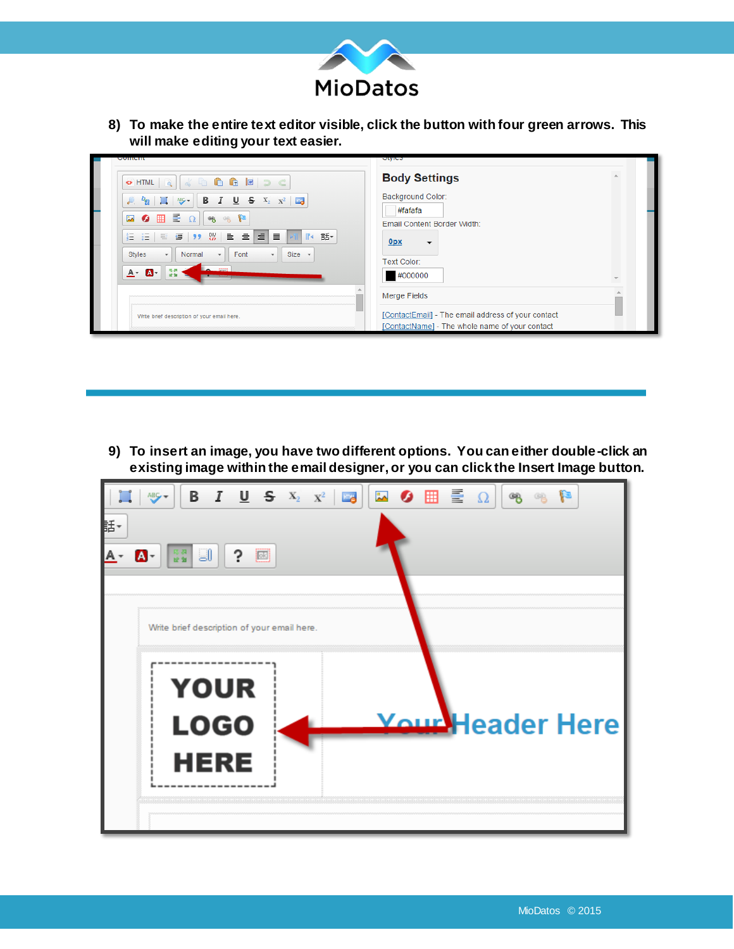

**8) To make the entire text editor visible, click the button with four green arrows. This will make editing your text easier.**

| OHTML & & BBBBC                                                                                                                                                                  | <b>Body Settings</b>                               |  |
|----------------------------------------------------------------------------------------------------------------------------------------------------------------------------------|----------------------------------------------------|--|
| $\mathcal{L}$ , $\frac{b_{\mathbf{Q}}}{\ \mathbf{Q}\ }$ $\mathbb{E}$ $\left\  \frac{a_{\mathbf{Q}}}{\ \mathbf{Q}\ } \right\ $ <b>B</b> $I$ <b>U S</b> $X_2$ $X_1^2$ $\mathbb{E}$ | <b>Background Color:</b>                           |  |
| 뤁<br>囲<br>$-4.88$<br>$\Omega$<br>$\frac{1}{2}$<br>$\bullet$                                                                                                                      | #fafafa                                            |  |
|                                                                                                                                                                                  | Email Content Border Width:                        |  |
| $\equiv$<br>(팔 蛋 ) 9 08   보 로  <br><b>MR</b><br>Æ.<br>$\equiv$<br>這                                                                                                              | 0 <sub>px</sub><br>$\overline{\phantom{a}}$        |  |
| Font<br>$Size -$<br><b>Styles</b><br>Normal<br>$\cdot$<br>$\cdot$<br>$\overline{\phantom{0}}$                                                                                    |                                                    |  |
| $\sim$ $\approx$<br>馬界                                                                                                                                                           | Text Color:                                        |  |
| $A - A$<br>设备                                                                                                                                                                    | #000000                                            |  |
|                                                                                                                                                                                  | <b>Merge Fields</b>                                |  |
| Write brief description of your email here.                                                                                                                                      | [ContactEmail] - The email address of your contact |  |
|                                                                                                                                                                                  | [ContactName] - The whole name of your contact     |  |

**9) To insert an image, you have two different options. You can either double-click an existing image within the email designer, or you can click the Insert Image button.**

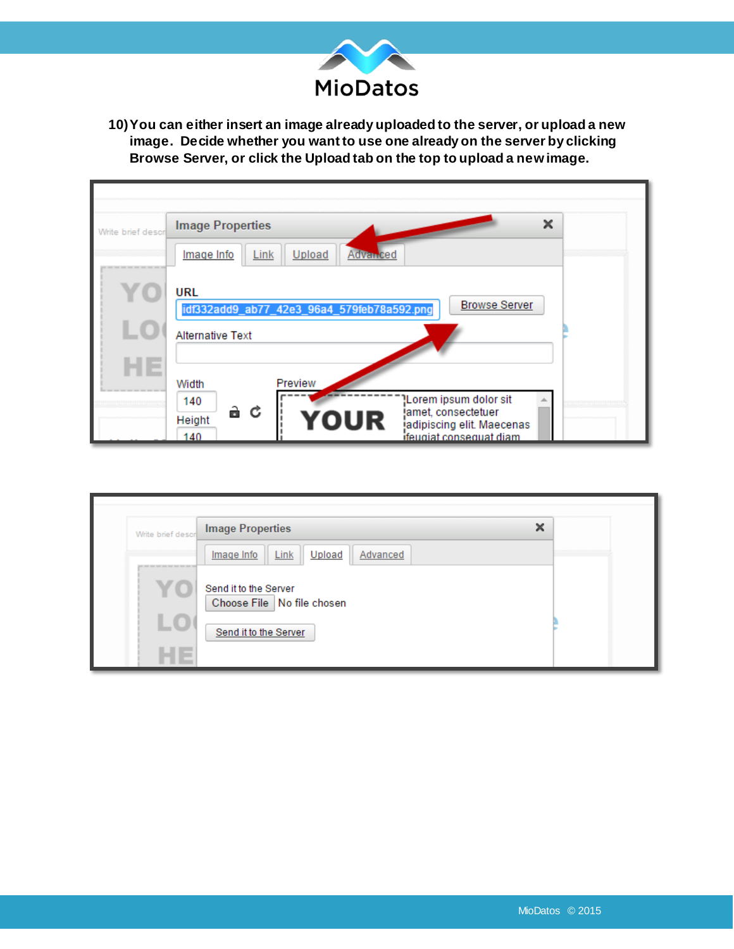

**10)You can either insert an image already uploaded to the server, or upload a new image. Decide whether you want to use one already on the server by clicking Browse Server, or click the Upload tab on the top to upload a new image.**

| Write brief descr | ×<br><b>Image Properties</b><br>Link<br>Upload<br>Image Info<br><b>Advanced</b>                                                             |  |
|-------------------|---------------------------------------------------------------------------------------------------------------------------------------------|--|
|                   | <b>URL</b><br><b>Browse Server</b><br>idf332add9_ab77_42e3_96a4_579feb78a592.png<br><b>Alternative Text</b><br>Preview<br>Width             |  |
|                   | Lorem ipsum dolor sit<br>140<br>àС<br>jamet, consectetuer<br>YOUR<br>Height<br>jadipiscing elit. Maecenas<br>ifeugiat conseguat diam<br>140 |  |

| Write brief descri                                    | ×<br><b>Image Properties</b>                                                   |  |
|-------------------------------------------------------|--------------------------------------------------------------------------------|--|
| and the first state and state there was not then them | Link<br>Upload<br>Advanced<br>Image Info                                       |  |
|                                                       | Send it to the Server<br>Choose File   No file chosen<br>Send it to the Server |  |
|                                                       |                                                                                |  |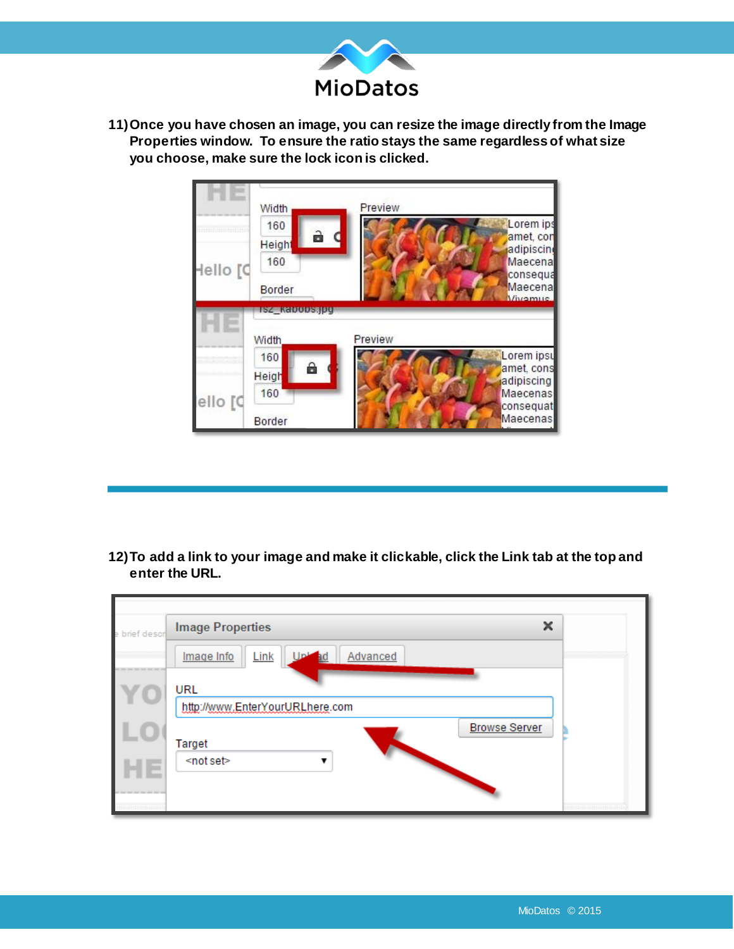

**11)Once you have chosen an image, you can resize the image directly from the Image Properties window. To ensure the ratio stays the same regardless of what size you choose, make sure the lock icon is clicked.** 



**12)To add a link to your image and make it clickable, click the Link tab at the top and enter the URL.** 

| e brief descri                  | ×<br><b>Image Properties</b>                         |  |
|---------------------------------|------------------------------------------------------|--|
|                                 | Link<br>Advanced<br>Image Info                       |  |
|                                 | URL<br>http://www.EnterYourURLhere.com               |  |
| . .                             | <b>Browse Server</b><br>Target<br><not set=""></not> |  |
| a pas pas and and the sea and a |                                                      |  |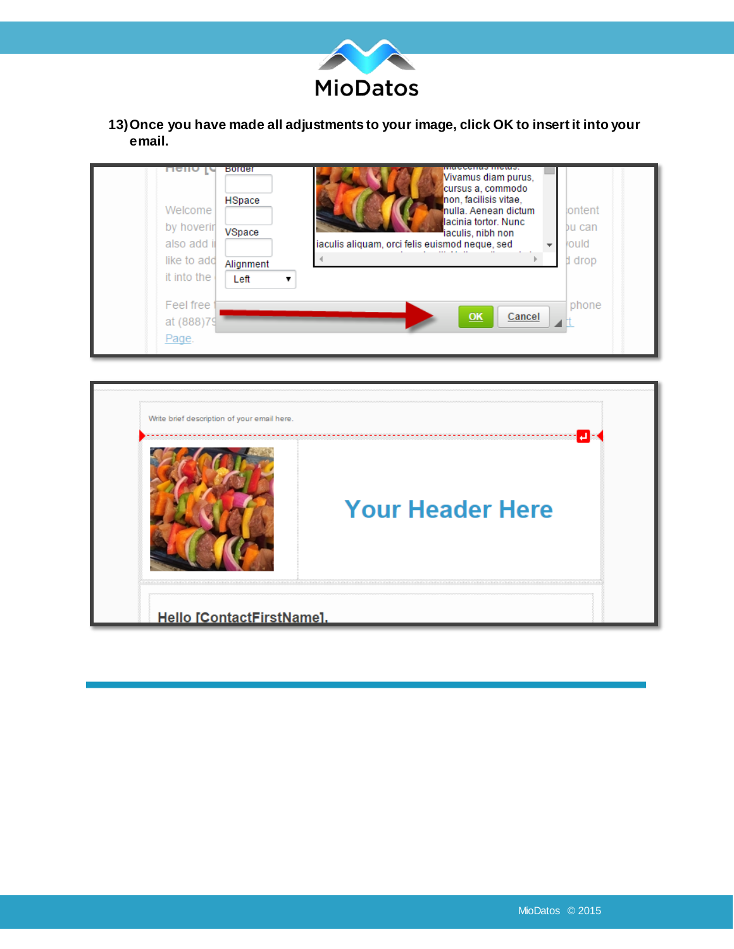

**13)Once you have made all adjustments to your image, click OK to insert it into your email.** 



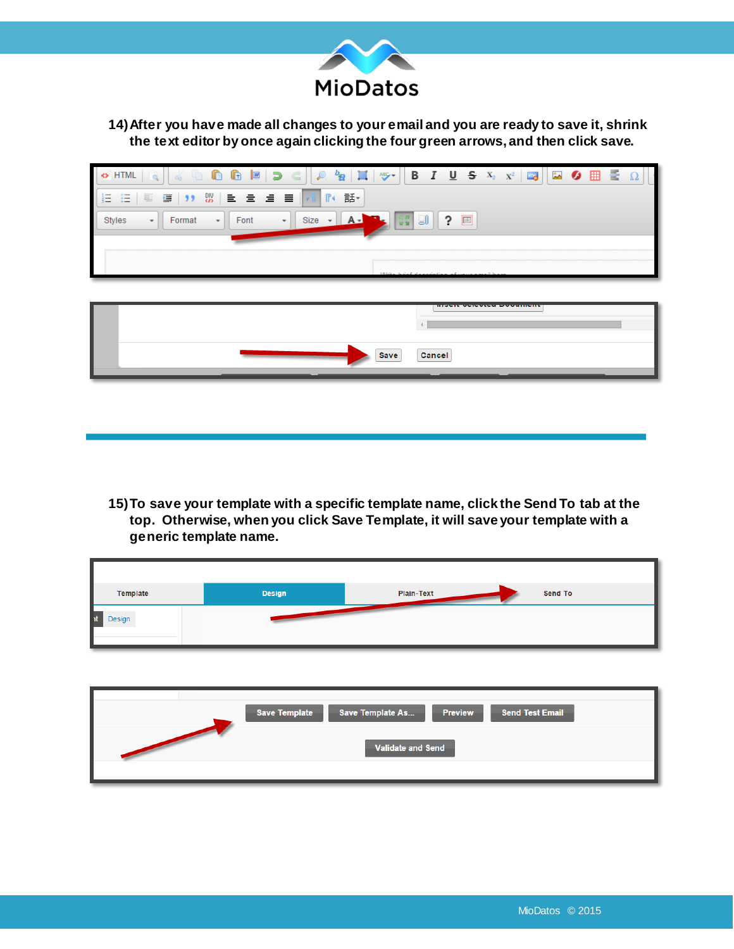

## **14)After you have made all changes to your email and you are ready to save it, shrink the text editor by once again clicking the four green arrows, and then click save.**

| $\ \cdot\ $ to the transit of the set of $\ $ , and $\ $ is the set of $\mathbb{E}\left[\mathbb{R}^d\right]$ . In the set of $\mathbb{E}\left[\mathbb{R}^d\right]$ is the set of $\mathbb{E}\left[\mathbb{R}^d\right]$ . In the set of $\mathbb{E}\left[\mathbb{R}^d\right]$ , we set of $\mathbb{E}\left[\mathbb{$<br>$\leftrightarrow$ HTML |
|-----------------------------------------------------------------------------------------------------------------------------------------------------------------------------------------------------------------------------------------------------------------------------------------------------------------------------------------------|
| HΞ                                                                                                                                                                                                                                                                                                                                            |
| $\left  \begin{array}{cc} \n\mathbb{R}^n & \mathbb{R} \n\end{array} \right $ ?<br>Styles<br>Size<br>Format<br>Font<br>$\cdot$<br>$\overline{\phantom{a}}$<br>$\overline{\phantom{a}}$                                                                                                                                                         |
|                                                                                                                                                                                                                                                                                                                                               |
|                                                                                                                                                                                                                                                                                                                                               |

| Save<br>Cancel |  |
|----------------|--|

**15)To save your template with a specific template name, click the Send To tab at the top. Otherwise, when you click Save Template, it will save your template with a generic template name.** 

| Template     | Design | Plain-Text<br>Send To |
|--------------|--------|-----------------------|
| nt<br>Design |        |                       |

| <b>Save Template As</b><br>Save Template<br><b>Send Test Email</b><br><b>Preview</b> |
|--------------------------------------------------------------------------------------|
| <b>Validate and Send</b>                                                             |
|                                                                                      |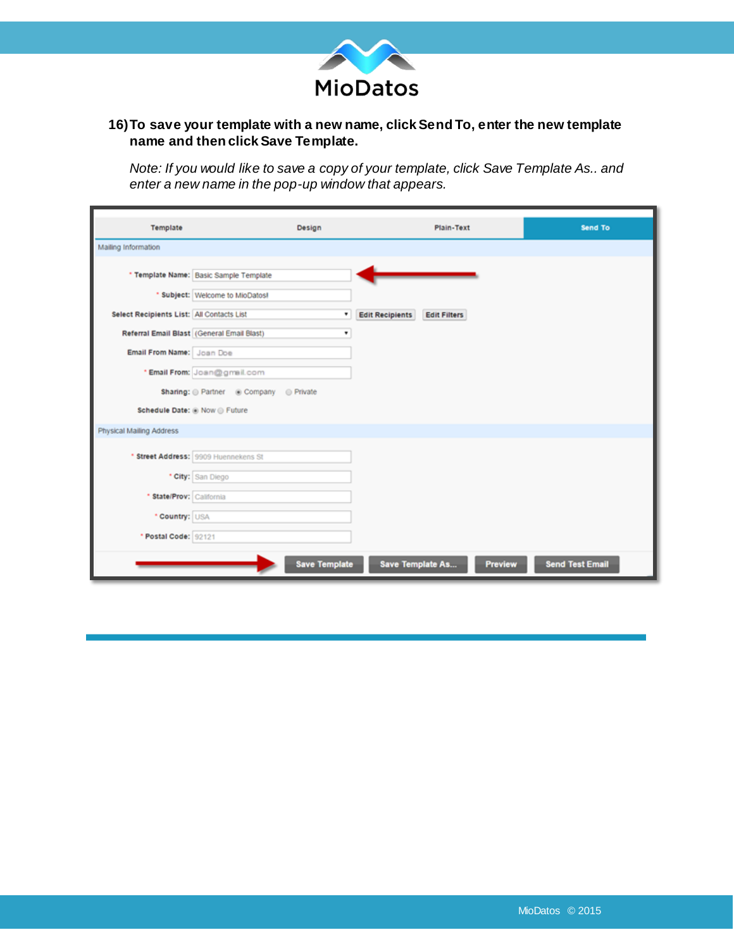

## **16)To save your template with a new name, click Send To, enter the new template name and then click Save Template.**

*Note: If you would like to save a copy of your template, click Save Template As.. and enter a new name in the pop-up window that appears.* 

| Template                                  | Design                                          | Plain-Text                                    |                | Send To                |
|-------------------------------------------|-------------------------------------------------|-----------------------------------------------|----------------|------------------------|
| Mailing Information                       |                                                 |                                               |                |                        |
|                                           | * Template Name: Basic Sample Template          |                                               |                |                        |
|                                           | * Subject: Welcome to MioDatos!                 |                                               |                |                        |
| Select Recipients List: All Contacts List | ۰                                               | <b>Edit Recipients</b><br><b>Edit Filters</b> |                |                        |
|                                           | Referral Email Blast (General Email Blast)<br>۰ |                                               |                |                        |
| Email From Name: Joan Doe                 |                                                 |                                               |                |                        |
|                                           | * Email From: Joan@gmail.com                    |                                               |                |                        |
|                                           | Sharing: @ Partner @ Company @ Private          |                                               |                |                        |
|                                           | Schedule Date: @ Now @ Future                   |                                               |                |                        |
| Physical Mailing Address                  |                                                 |                                               |                |                        |
|                                           | * Street Address: 9909 Huennekens St            |                                               |                |                        |
|                                           | * City: San Diego                               |                                               |                |                        |
| * State/Prov: California                  |                                                 |                                               |                |                        |
| * Country: USA                            |                                                 |                                               |                |                        |
| * Postal Code: 92121                      |                                                 |                                               |                |                        |
|                                           | <b>Save Template</b>                            | Save Template As                              | <b>Preview</b> | <b>Send Test Email</b> |